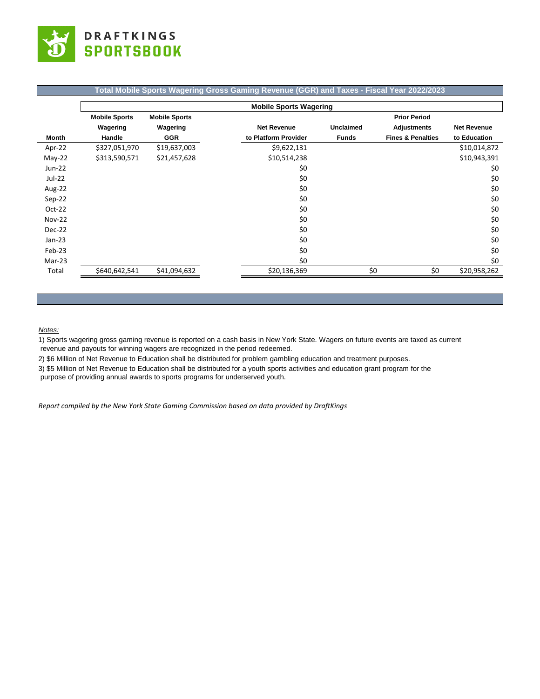

## **Total Mobile Sports Wagering Gross Gaming Revenue (GGR) and Taxes - Fiscal Year 2022/2023**

|               | <b>Mobile Sports Wagering</b> |                      |                      |                  |                              |                    |  |  |
|---------------|-------------------------------|----------------------|----------------------|------------------|------------------------------|--------------------|--|--|
|               | <b>Mobile Sports</b>          | <b>Mobile Sports</b> |                      |                  | <b>Prior Period</b>          |                    |  |  |
|               | Wagering                      | Wagering             | <b>Net Revenue</b>   | <b>Unclaimed</b> | <b>Adjustments</b>           | <b>Net Revenue</b> |  |  |
| Month         | Handle                        | <b>GGR</b>           | to Platform Provider | <b>Funds</b>     | <b>Fines &amp; Penalties</b> | to Education       |  |  |
| Apr-22        | \$327,051,970                 | \$19,637,003         | \$9,622,131          |                  |                              | \$10,014,872       |  |  |
| $May-22$      | \$313,590,571                 | \$21,457,628         | \$10,514,238         |                  |                              | \$10,943,391       |  |  |
| $Jun-22$      |                               |                      | \$0                  |                  |                              | \$0                |  |  |
| $Jul-22$      |                               |                      | \$0                  |                  |                              | \$0                |  |  |
| Aug-22        |                               |                      | \$0                  |                  |                              | \$0                |  |  |
| Sep-22        |                               |                      | \$0                  |                  |                              | \$0                |  |  |
| $Oct-22$      |                               |                      | \$0                  |                  |                              | \$0                |  |  |
| <b>Nov-22</b> |                               |                      | \$0                  |                  |                              | \$0                |  |  |
| Dec-22        |                               |                      | \$0                  |                  |                              | \$0                |  |  |
| $Jan-23$      |                               |                      | \$0                  |                  |                              | \$0                |  |  |
| Feb-23        |                               |                      | \$0                  |                  |                              | \$0                |  |  |
| Mar-23        |                               |                      | \$0                  |                  |                              | \$0                |  |  |
| Total         | \$640,642,541                 | \$41,094,632         | \$20,136,369         | \$0              | \$0                          | \$20,958,262       |  |  |

## *Notes:*

1) Sports wagering gross gaming revenue is reported on a cash basis in New York State. Wagers on future events are taxed as current revenue and payouts for winning wagers are recognized in the period redeemed.

2) \$6 Million of Net Revenue to Education shall be distributed for problem gambling education and treatment purposes.

3) \$5 Million of Net Revenue to Education shall be distributed for a youth sports activities and education grant program for the

purpose of providing annual awards to sports programs for underserved youth.

*Report compiled by the New York State Gaming Commission based on data provided by DraftKings*